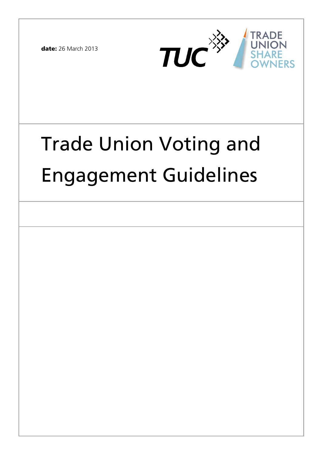**date:** 26 March 2013



# Trade Union Voting and Engagement Guidelines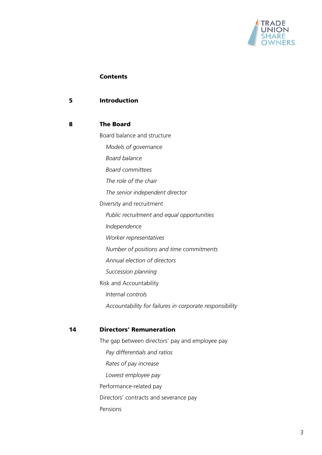

#### **Contents**

#### **5 Introduction**

#### **8 The Board**

Board balance and structure  *Models of governance Board balance Board committees The role of the chair The senior independent director*  Diversity and recruitment  *Public recruitment and equal opportunities Independence Worker representatives Number of positions and time commitments Annual election of directors Succession planning*  Risk and Accountability  *Internal controls Accountability for failures in corporate responsibility* 

# **14 Directors' Remuneration**

The gap between directors' pay and employee pay  *Pay differentials and ratios Rates of pay increase Lowest employee pay*  Performance-related pay Directors' contracts and severance pay Pensions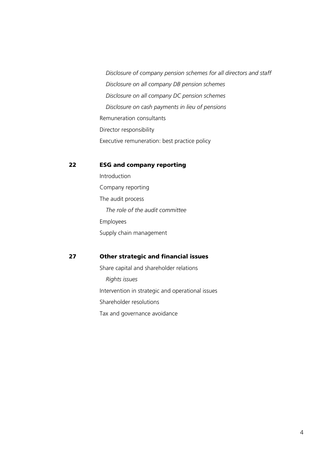*Disclosure of company pension schemes for all directors and staff Disclosure on all company DB pension schemes Disclosure on all company DC pension schemes Disclosure on cash payments in lieu of pensions*  Remuneration consultants Director responsibility Executive remuneration: best practice policy

#### **22 ESG and company reporting**

**Introduction** Company reporting The audit process  *The role of the audit committee*  Employees Supply chain management

#### **27 Other strategic and financial issues**

Share capital and shareholder relations  *Rights issues*  Intervention in strategic and operational issues Shareholder resolutions Tax and governance avoidance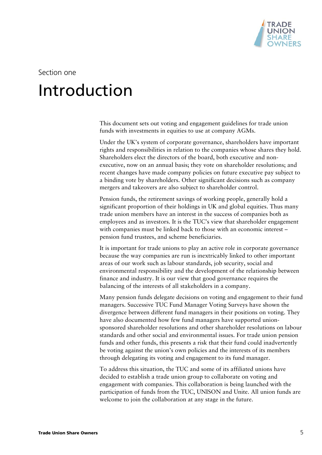

Section one

# **Introduction**

This document sets out voting and engagement guidelines for trade union funds with investments in equities to use at company AGMs.

Under the UK's system of corporate governance, shareholders have important rights and responsibilities in relation to the companies whose shares they hold. Shareholders elect the directors of the board, both executive and nonexecutive, now on an annual basis; they vote on shareholder resolutions; and recent changes have made company policies on future executive pay subject to a binding vote by shareholders. Other significant decisions such as company mergers and takeovers are also subject to shareholder control.

Pension funds, the retirement savings of working people, generally hold a significant proportion of their holdings in UK and global equities. Thus many trade union members have an interest in the success of companies both as employees and as investors. It is the TUC's view that shareholder engagement with companies must be linked back to those with an economic interest – pension fund trustees, and scheme beneficiaries.

It is important for trade unions to play an active role in corporate governance because the way companies are run is inextricably linked to other important areas of our work such as labour standards, job security, social and environmental responsibility and the development of the relationship between finance and industry. It is our view that good governance requires the balancing of the interests of all stakeholders in a company.

Many pension funds delegate decisions on voting and engagement to their fund managers. Successive TUC Fund Manager Voting Surveys have shown the divergence between different fund managers in their positions on voting. They have also documented how few fund managers have supported unionsponsored shareholder resolutions and other shareholder resolutions on labour standards and other social and environmental issues. For trade union pension funds and other funds, this presents a risk that their fund could inadvertently be voting against the union's own policies and the interests of its members through delegating its voting and engagement to its fund manager.

To address this situation, the TUC and some of its affiliated unions have decided to establish a trade union group to collaborate on voting and engagement with companies. This collaboration is being launched with the participation of funds from the TUC, UNISON and Unite. All union funds are welcome to join the collaboration at any stage in the future.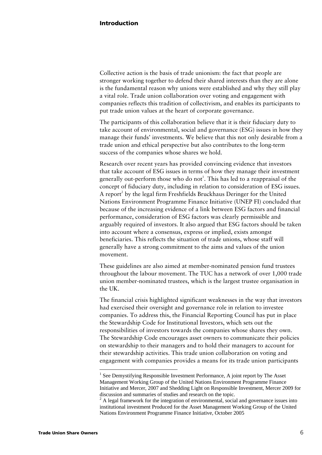Collective action is the basis of trade unionism: the fact that people are stronger working together to defend their shared interests than they are alone is the fundamental reason why unions were established and why they still play a vital role. Trade union collaboration over voting and engagement with companies reflects this tradition of collectivism, and enables its participants to put trade union values at the heart of corporate governance.

The participants of this collaboration believe that it is their fiduciary duty to take account of environmental, social and governance (ESG) issues in how they manage their funds' investments. We believe that this not only desirable from a trade union and ethical perspective but also contributes to the long-term success of the companies whose shares we hold.

Research over recent years has provided convincing evidence that investors that take account of ESG issues in terms of how they manage their investment generally out-perform those who do not<sup>1</sup>. This has led to a reappraisal of the concept of fiduciary duty, including in relation to consideration of ESG issues. A report<sup>2</sup> by the legal firm Freshfields Bruckhaus Deringer for the United Nations Environment Programme Finance Initiative (UNEP FI) concluded that because of the increasing evidence of a link between ESG factors and financial performance, consideration of ESG factors was clearly permissible and arguably required of investors. It also argued that ESG factors should be taken into account where a consensus, express or implied, exists amongst beneficiaries. This reflects the situation of trade unions, whose staff will generally have a strong commitment to the aims and values of the union movement.

These guidelines are also aimed at member-nominated pension fund trustees throughout the labour movement. The TUC has a network of over 1,000 trade union member-nominated trustees, which is the largest trustee organisation in the UK.

The financial crisis highlighted significant weaknesses in the way that investors had exercised their oversight and governance role in relation to investee companies. To address this, the Financial Reporting Council has put in place the Stewardship Code for Institutional Investors, which sets out the responsibilities of investors towards the companies whose shares they own. The Stewardship Code encourages asset owners to communicate their policies on stewardship to their managers and to hold their managers to account for their stewardship activities. This trade union collaboration on voting and engagement with companies provides a means for its trade union participants

<sup>&</sup>lt;sup>1</sup> See Demystifying Responsible Investment Performance, A joint report by The Asset Management Working Group of the United Nations Environment Programme Finance Initiative and Mercer, 2007 and Shedding Light on Responsible Investment, Mercer 2009 for discussion and summaries of studies and research on the topic.

 $2$  A legal framework for the integration of environmental, social and governance issues into institutional investment Produced for the Asset Management Working Group of the United Nations Environment Programme Finance Initiative, October 2005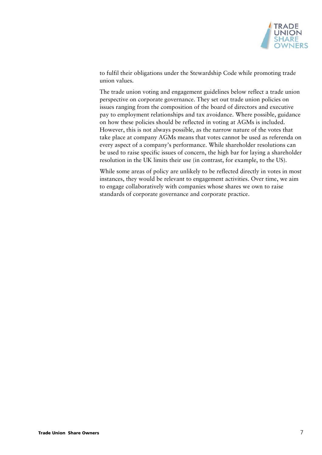

to fulfil their obligations under the Stewardship Code while promoting trade union values.

The trade union voting and engagement guidelines below reflect a trade union perspective on corporate governance. They set out trade union policies on issues ranging from the composition of the board of directors and executive pay to employment relationships and tax avoidance. Where possible, guidance on how these policies should be reflected in voting at AGMs is included. However, this is not always possible, as the narrow nature of the votes that take place at company AGMs means that votes cannot be used as referenda on every aspect of a company's performance. While shareholder resolutions can be used to raise specific issues of concern, the high bar for laying a shareholder resolution in the UK limits their use (in contrast, for example, to the US).

While some areas of policy are unlikely to be reflected directly in votes in most instances, they would be relevant to engagement activities. Over time, we aim to engage collaboratively with companies whose shares we own to raise standards of corporate governance and corporate practice.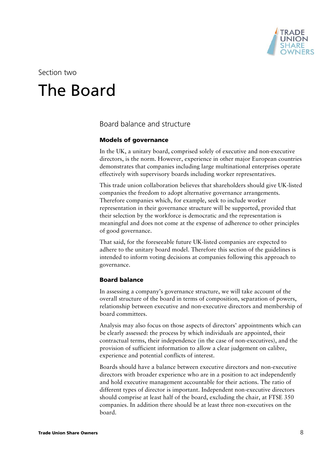

Section two

# The Board

Board balance and structure

## **Models of governance**

In the UK, a unitary board, comprised solely of executive and non-executive directors, is the norm. However, experience in other major European countries demonstrates that companies including large multinational enterprises operate effectively with supervisory boards including worker representatives.

This trade union collaboration believes that shareholders should give UK-listed companies the freedom to adopt alternative governance arrangements. Therefore companies which, for example, seek to include worker representation in their governance structure will be supported, provided that their selection by the workforce is democratic and the representation is meaningful and does not come at the expense of adherence to other principles of good governance.

That said, for the foreseeable future UK-listed companies are expected to adhere to the unitary board model. Therefore this section of the guidelines is intended to inform voting decisions at companies following this approach to governance.

### **Board balance**

In assessing a company's governance structure, we will take account of the overall structure of the board in terms of composition, separation of powers, relationship between executive and non-executive directors and membership of board committees.

Analysis may also focus on those aspects of directors' appointments which can be clearly assessed: the process by which individuals are appointed, their contractual terms, their independence (in the case of non-executives), and the provision of sufficient information to allow a clear judgement on calibre, experience and potential conflicts of interest.

Boards should have a balance between executive directors and non-executive directors with broader experience who are in a position to act independently and hold executive management accountable for their actions. The ratio of different types of director is important. Independent non-executive directors should comprise at least half of the board, excluding the chair, at FTSE 350 companies. In addition there should be at least three non-executives on the board.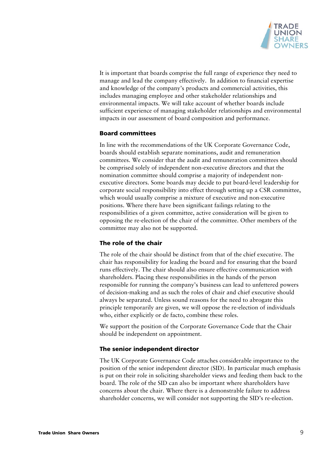

It is important that boards comprise the full range of experience they need to manage and lead the company effectively. In addition to financial expertise and knowledge of the company's products and commercial activities, this includes managing employee and other stakeholder relationships and environmental impacts. We will take account of whether boards include sufficient experience of managing stakeholder relationships and environmental impacts in our assessment of board composition and performance.

### **Board committees**

In line with the recommendations of the UK Corporate Governance Code, boards should establish separate nominations, audit and remuneration committees. We consider that the audit and remuneration committees should be comprised solely of independent non-executive directors and that the nomination committee should comprise a majority of independent nonexecutive directors. Some boards may decide to put board-level leadership for corporate social responsibility into effect through setting up a CSR committee, which would usually comprise a mixture of executive and non-executive positions. Where there have been significant failings relating to the responsibilities of a given committee, active consideration will be given to opposing the re-election of the chair of the committee. Other members of the committee may also not be supported.

### **The role of the chair**

The role of the chair should be distinct from that of the chief executive. The chair has responsibility for leading the board and for ensuring that the board runs effectively. The chair should also ensure effective communication with shareholders. Placing these responsibilities in the hands of the person responsible for running the company's business can lead to unfettered powers of decision-making and as such the roles of chair and chief executive should always be separated. Unless sound reasons for the need to abrogate this principle temporarily are given, we will oppose the re-election of individuals who, either explicitly or de facto, combine these roles.

We support the position of the Corporate Governance Code that the Chair should be independent on appointment.

#### **The senior independent director**

The UK Corporate Governance Code attaches considerable importance to the position of the senior independent director (SID). In particular much emphasis is put on their role in soliciting shareholder views and feeding them back to the board. The role of the SID can also be important where shareholders have concerns about the chair. Where there is a demonstrable failure to address shareholder concerns, we will consider not supporting the SID's re-election.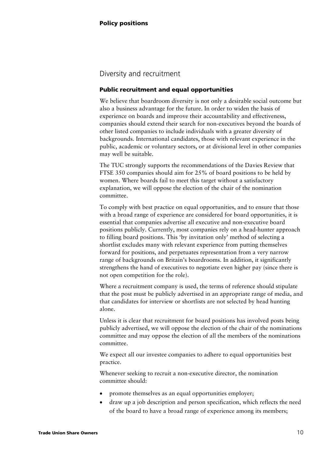# Diversity and recruitment

### **Public recruitment and equal opportunities**

We believe that boardroom diversity is not only a desirable social outcome but also a business advantage for the future. In order to widen the basis of experience on boards and improve their accountability and effectiveness, companies should extend their search for non-executives beyond the boards of other listed companies to include individuals with a greater diversity of backgrounds. International candidates, those with relevant experience in the public, academic or voluntary sectors, or at divisional level in other companies may well be suitable.

The TUC strongly supports the recommendations of the Davies Review that FTSE 350 companies should aim for 25% of board positions to be held by women. Where boards fail to meet this target without a satisfactory explanation, we will oppose the election of the chair of the nomination committee.

To comply with best practice on equal opportunities, and to ensure that those with a broad range of experience are considered for board opportunities, it is essential that companies advertise all executive and non-executive board positions publicly. Currently, most companies rely on a head-hunter approach to filling board positions. This 'by invitation only' method of selecting a shortlist excludes many with relevant experience from putting themselves forward for positions, and perpetuates representation from a very narrow range of backgrounds on Britain's boardrooms. In addition, it significantly strengthens the hand of executives to negotiate even higher pay (since there is not open competition for the role).

Where a recruitment company is used, the terms of reference should stipulate that the post must be publicly advertised in an appropriate range of media, and that candidates for interview or shortlists are not selected by head hunting alone.

Unless it is clear that recruitment for board positions has involved posts being publicly advertised, we will oppose the election of the chair of the nominations committee and may oppose the election of all the members of the nominations committee.

We expect all our investee companies to adhere to equal opportunities best practice.

Whenever seeking to recruit a non-executive director, the nomination committee should:

- promote themselves as an equal opportunities employer;
- draw up a job description and person specification, which reflects the need of the board to have a broad range of experience among its members;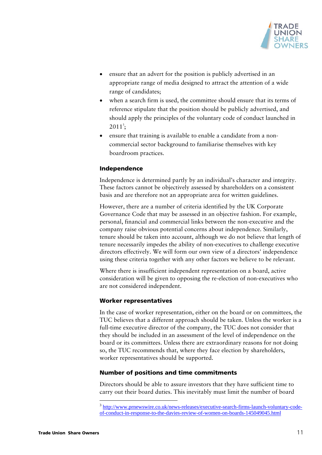

- ensure that an advert for the position is publicly advertised in an appropriate range of media designed to attract the attention of a wide range of candidates;
- when a search firm is used, the committee should ensure that its terms of reference stipulate that the position should be publicly advertised, and should apply the principles of the voluntary code of conduct launched in  $2011^3;$
- ensure that training is available to enable a candidate from a noncommercial sector background to familiarise themselves with key boardroom practices.

## **Independence**

Independence is determined partly by an individual's character and integrity. These factors cannot be objectively assessed by shareholders on a consistent basis and are therefore not an appropriate area for written guidelines.

However, there are a number of criteria identified by the UK Corporate Governance Code that may be assessed in an objective fashion. For example, personal, financial and commercial links between the non-executive and the company raise obvious potential concerns about independence. Similarly, tenure should be taken into account, although we do not believe that length of tenure necessarily impedes the ability of non-executives to challenge executive directors effectively. We will form our own view of a directors' independence using these criteria together with any other factors we believe to be relevant.

Where there is insufficient independent representation on a board, active consideration will be given to opposing the re-election of non-executives who are not considered independent.

### **Worker representatives**

In the case of worker representation, either on the board or on committees, the TUC believes that a different approach should be taken. Unless the worker is a full-time executive director of the company, the TUC does not consider that they should be included in an assessment of the level of independence on the board or its committees. Unless there are extraordinary reasons for not doing so, the TUC recommends that, where they face election by shareholders, worker representatives should be supported.

#### **Number of positions and time commitments**

Directors should be able to assure investors that they have sufficient time to carry out their board duties. This inevitably must limit the number of board

<sup>3</sup> http://www.prnewswire.co.uk/news-releases/executive-search-firms-launch-voluntary-codeof-conduct-in-response-to-the-davies-review-of-women-on-boards-145049045.html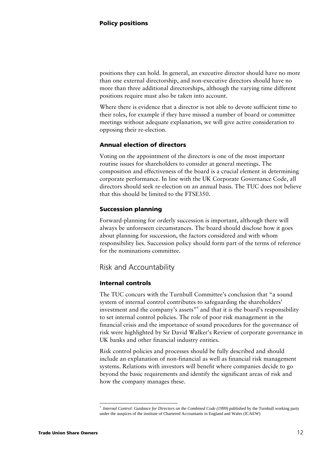positions they can hold. In general, an executive director should have no more than one external directorship, and non-executive directors should have no more than three additional directorships, although the varying time different positions require must also be taken into account.

Where there is evidence that a director is not able to devote sufficient time to their roles, for example if they have missed a number of board or committee meetings without adequate explanation, we will give active consideration to opposing their re-election.

### **Annual election of directors**

Voting on the appointment of the directors is one of the most important routine issues for shareholders to consider at general meetings. The composition and effectiveness of the board is a crucial element in determining corporate performance. In line with the UK Corporate Governance Code, all directors should seek re-election on an annual basis. The TUC does not believe that this should be limited to the FTSE350.

## **Succession planning**

Forward-planning for orderly succession is important, although there will always be unforeseen circumstances. The board should disclose how it goes about planning for succession, the factors considered and with whom responsibility lies. Succession policy should form part of the terms of reference for the nominations committee.

Risk and Accountability

# **Internal controls**

The TUC concurs with the Turnbull Committee's conclusion that "a sound system of internal control contributes to safeguarding the shareholders' investment and the company's assets"<sup>4</sup> and that it is the board's responsibility to set internal control policies. The role of poor risk management in the financial crisis and the importance of sound procedures for the governance of risk were highlighted by Sir David Walker's Review of corporate governance in UK banks and other financial industry entities.

Risk control policies and processes should be fully described and should include an explanation of non-financial as well as financial risk management systems. Relations with investors will benefit where companies decide to go beyond the basic requirements and identify the significant areas of risk and how the company manages these.

<sup>4</sup>  *Internal Control: Guidance for Directors on the Combined Code (1999*) published by the Turnbull working party under the auspices of the institute of Chartered Accountants in England and Wales (ICAEW)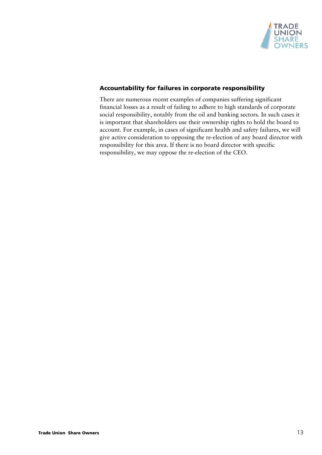

## **Accountability for failures in corporate responsibility**

There are numerous recent examples of companies suffering significant financial losses as a result of failing to adhere to high standards of corporate social responsibility, notably from the oil and banking sectors. In such cases it is important that shareholders use their ownership rights to hold the board to account. For example, in cases of significant health and safety failures, we will give active consideration to opposing the re-election of any board director with responsibility for this area. If there is no board director with specific responsibility, we may oppose the re-election of the CEO.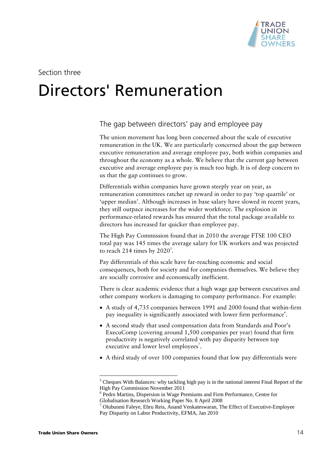

Section three

# Directors' Remuneration

The gap between directors' pay and employee pay

The union movement has long been concerned about the scale of executive remuneration in the UK. We are particularly concerned about the gap between executive remuneration and average employee pay, both within companies and throughout the economy as a whole. We believe that the current gap between executive and average employee pay is much too high. It is of deep concern to us that the gap continues to grow.

Differentials within companies have grown steeply year on year, as remuneration committees ratchet up reward in order to pay 'top quartile' or 'upper median'. Although increases in base salary have slowed in recent years, they still outpace increases for the wider workforce. The explosion in performance-related rewards has ensured that the total package available to directors has increased far quicker than employee pay.

The High Pay Commission found that in 2010 the average FTSE 100 CEO total pay was 145 times the average salary for UK workers and was projected to reach 214 times by  $2020^5$ .

Pay differentials of this scale have far-reaching economic and social consequences, both for society and for companies themselves. We believe they are socially corrosive and economically inefficient.

There is clear academic evidence that a high wage gap between executives and other company workers is damaging to company performance. For example:

- A study of 4,735 companies between 1991 and 2000 found that within-firm pay inequality is significantly associated with lower firm performance<sup>6</sup>.
- A second study that used compensation data from Standards and Poor's ExecuComp (covering around 1,500 companies per year) found that firm productivity is negatively correlated with pay disparity between top executive and lower level employees<sup>7</sup>.
- A third study of over 100 companies found that low pay differentials were

<sup>&</sup>lt;sup>5</sup> Cheques With Balances: why tackling high pay is in the national interest Final Report of the High Pay Commission November 2011

<sup>&</sup>lt;sup>6</sup> Pedro Martins, Dispersion in Wage Premiums and Firm Performance, Centre for Globalisation Research Working Paper No. 8 April 2008

<sup>&</sup>lt;sup>7</sup> Olubunmi Faleye, Ebru Reis, Anand Venkateswaran, The Effect of Executive-Employee Pay Disparity on Labor Productivity, EFMA, Jan 2010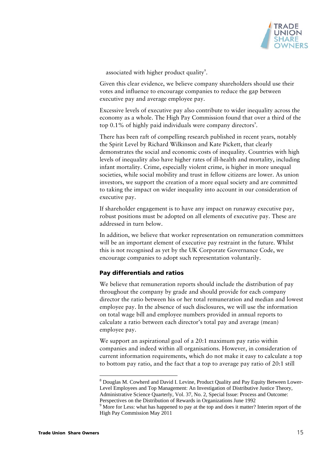

associated with higher product quality $s$ .

Given this clear evidence, we believe company shareholders should use their votes and influence to encourage companies to reduce the gap between executive pay and average employee pay.

Excessive levels of executive pay also contribute to wider inequality across the economy as a whole. The High Pay Commission found that over a third of the top  $0.1\%$  of highly paid individuals were company directors<sup>9</sup>.

There has been raft of compelling research published in recent years, notably the Spirit Level by Richard Wilkinson and Kate Pickett, that clearly demonstrates the social and economic costs of inequality. Countries with high levels of inequality also have higher rates of ill-health and mortality, including infant mortality. Crime, especially violent crime, is higher in more unequal societies, while social mobility and trust in fellow citizens are lower. As union investors, we support the creation of a more equal society and are committed to taking the impact on wider inequality into account in our consideration of executive pay.

If shareholder engagement is to have any impact on runaway executive pay, robust positions must be adopted on all elements of executive pay. These are addressed in turn below.

In addition, we believe that worker representation on remuneration committees will be an important element of executive pay restraint in the future. Whilst this is not recognised as yet by the UK Corporate Governance Code, we encourage companies to adopt such representation voluntarily.

# **Pay differentials and ratios**

We believe that remuneration reports should include the distribution of pay throughout the company by grade and should provide for each company director the ratio between his or her total remuneration and median and lowest employee pay. In the absence of such disclosures, we will use the information on total wage bill and employee numbers provided in annual reports to calculate a ratio between each director's total pay and average (mean) employee pay.

We support an aspirational goal of a 20:1 maximum pay ratio within companies and indeed within all organisations. However, in consideration of current information requirements, which do not make it easy to calculate a top to bottom pay ratio, and the fact that a top to average pay ratio of 20:1 still

<sup>&</sup>lt;sup>8</sup> Douglas M. Cowherd and David I. Levine, Product Quality and Pay Equity Between Lower-Level Employees and Top Management: An Investigation of Distributive Justice Theory, Administrative Science Quarterly, Vol. 37, No. 2, Special Issue: Process and Outcome: Perspectives on the Distribution of Rewards in Organizations June 1992

<sup>&</sup>lt;sup>9</sup> More for Less: what has happened to pay at the top and does it matter? Interim report of the High Pay Commission May 2011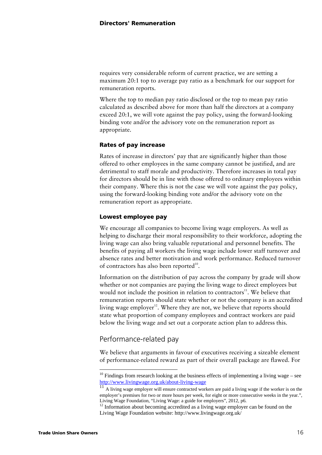requires very considerable reform of current practice, we are setting a maximum 20:1 top to average pay ratio as a benchmark for our support for remuneration reports.

Where the top to median pay ratio disclosed or the top to mean pay ratio calculated as described above for more than half the directors at a company exceed 20:1, we will vote against the pay policy, using the forward-looking binding vote and/or the advisory vote on the remuneration report as appropriate.

#### **Rates of pay increase**

Rates of increase in directors' pay that are significantly higher than those offered to other employees in the same company cannot be justified, and are detrimental to staff morale and productivity. Therefore increases in total pay for directors should be in line with those offered to ordinary employees within their company. Where this is not the case we will vote against the pay policy, using the forward-looking binding vote and/or the advisory vote on the remuneration report as appropriate.

#### **Lowest employee pay**

We encourage all companies to become living wage employers. As well as helping to discharge their moral responsibility to their workforce, adopting the living wage can also bring valuable reputational and personnel benefits. The benefits of paying all workers the living wage include lower staff turnover and absence rates and better motivation and work performance. Reduced turnover of contractors has also been reported $^{10}$ .

Information on the distribution of pay across the company by grade will show whether or not companies are paying the living wage to direct employees but would not include the position in relation to contractors $11$ . We believe that remuneration reports should state whether or not the company is an accredited living wage employer<sup>12</sup>. Where they are not, we believe that reports should state what proportion of company employees and contract workers are paid below the living wage and set out a corporate action plan to address this.

# Performance-related pay

 $\overline{a}$ 

We believe that arguments in favour of executives receiving a sizeable element of performance-related reward as part of their overall package are flawed. For

 $10$  Findings from research looking at the business effects of implementing a living wage – see http://www.livingwage.org.uk/about-living-wage  $\frac{11}{11}$  A living wage employer will ensure contracted workers are paid a living wage if the worker is on the

employer's premises for two or more hours per week, for eight or more consecutive weeks in the year.", Living Wage Foundation, "Living Wage: a guide for employers", 2012, p6.

 $12$  Information about becoming accredited as a living wage employer can be found on the Living Wage Foundation website: http://www.livingwage.org.uk/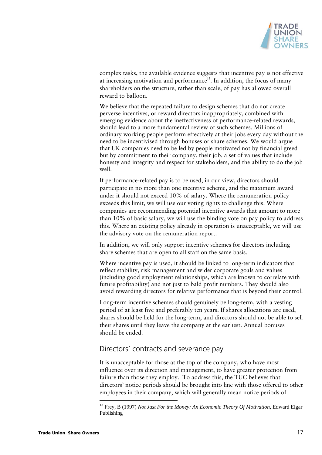

complex tasks, the available evidence suggests that incentive pay is not effective at increasing motivation and performance<sup>13</sup>. In addition, the focus of many shareholders on the structure, rather than scale, of pay has allowed overall reward to balloon.

We believe that the repeated failure to design schemes that do not create perverse incentives, or reward directors inappropriately, combined with emerging evidence about the ineffectiveness of performance-related rewards, should lead to a more fundamental review of such schemes. Millions of ordinary working people perform effectively at their jobs every day without the need to be incentivised through bonuses or share schemes. We would argue that UK companies need to be led by people motivated not by financial greed but by commitment to their company, their job, a set of values that include honesty and integrity and respect for stakeholders, and the ability to do the job well.

If performance-related pay is to be used, in our view, directors should participate in no more than one incentive scheme, and the maximum award under it should not exceed 10% of salary. Where the remuneration policy exceeds this limit, we will use our voting rights to challenge this. Where companies are recommending potential incentive awards that amount to more than 10% of basic salary, we will use the binding vote on pay policy to address this. Where an existing policy already in operation is unacceptable, we will use the advisory vote on the remuneration report.

In addition, we will only support incentive schemes for directors including share schemes that are open to all staff on the same basis.

Where incentive pay is used, it should be linked to long-term indicators that reflect stability, risk management and wider corporate goals and values (including good employment relationships, which are known to correlate with future profitability) and not just to bald profit numbers. They should also avoid rewarding directors for relative performance that is beyond their control.

Long-term incentive schemes should genuinely be long-term, with a vesting period of at least five and preferably ten years. If shares allocations are used, shares should be held for the long-term, and directors should not be able to sell their shares until they leave the company at the earliest. Annual bonuses should be ended.

# Directors' contracts and severance pay

It is unacceptable for those at the top of the company, who have most influence over its direction and management, to have greater protection from failure than those they employ. To address this, the TUC believes that directors' notice periods should be brought into line with those offered to other employees in their company, which will generally mean notice periods of

<sup>13</sup> Frey, B (1997) *Not Just For the Money: An Economic Theory Of Motivation*, Edward Elgar Publishing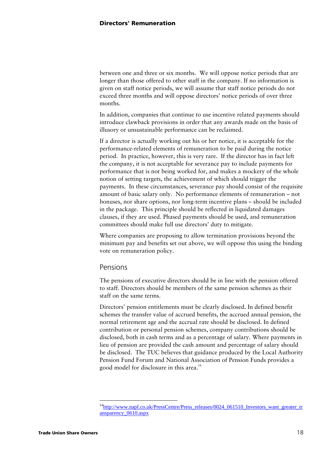between one and three or six months. We will oppose notice periods that are longer than those offered to other staff in the company. If no information is given on staff notice periods, we will assume that staff notice periods do not exceed three months and will oppose directors' notice periods of over three months.

In addition, companies that continue to use incentive related payments should introduce clawback provisions in order that any awards made on the basis of illusory or unsustainable performance can be reclaimed.

If a director is actually working out his or her notice, it is acceptable for the performance-related elements of remuneration to be paid during the notice period. In practice, however, this is very rare. If the director has in fact left the company, it is not acceptable for severance pay to include payments for performance that is not being worked for, and makes a mockery of the whole notion of setting targets, the achievement of which should trigger the payments. In these circumstances, severance pay should consist of the requisite amount of basic salary only. No performance elements of remuneration – not bonuses, nor share options, nor long-term incentive plans – should be included in the package. This principle should be reflected in liquidated damages clauses, if they are used. Phased payments should be used, and remuneration committees should make full use directors' duty to mitigate.

Where companies are proposing to allow termination provisions beyond the minimum pay and benefits set out above, we will oppose this using the binding vote on remuneration policy.

# Pensions

The pensions of executive directors should be in line with the pension offered to staff. Directors should be members of the same pension schemes as their staff on the same terms.

Directors' pension entitlements must be clearly disclosed. In defined benefit schemes the transfer value of accrued benefits, the accrued annual pension, the normal retirement age and the accrual rate should be disclosed. In defined contribution or personal pension schemes, company contributions should be disclosed, both in cash terms and as a percentage of salary. Where payments in lieu of pension are provided the cash amount and percentage of salary should be disclosed. The TUC believes that guidance produced by the Local Authority Pension Fund Forum and National Association of Pension Funds provides a good model for disclosure in this area.<sup>14</sup>

<sup>&</sup>lt;sup>14</sup>http://www.napf.co.uk/PressCentre/Press\_releases/0024\_061510\_Investors\_want\_greater\_tr ansparency\_0610.aspx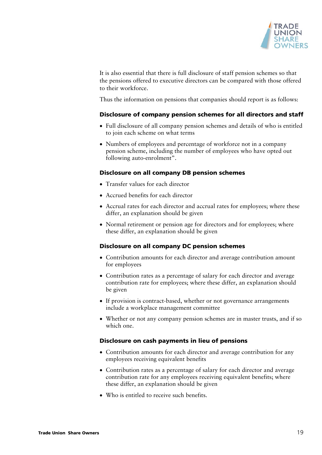

It is also essential that there is full disclosure of staff pension schemes so that the pensions offered to executive directors can be compared with those offered to their workforce.

Thus the information on pensions that companies should report is as follows:

### **Disclosure of company pension schemes for all directors and staff**

- Full disclosure of all company pension schemes and details of who is entitled to join each scheme on what terms
- Numbers of employees and percentage of workforce not in a company pension scheme, including the number of employees who have opted out following auto-enrolment".

### **Disclosure on all company DB pension schemes**

- Transfer values for each director
- Accrued benefits for each director
- Accrual rates for each director and accrual rates for employees; where these differ, an explanation should be given
- Normal retirement or pension age for directors and for employees; where these differ, an explanation should be given

#### **Disclosure on all company DC pension schemes**

- Contribution amounts for each director and average contribution amount for employees
- Contribution rates as a percentage of salary for each director and average contribution rate for employees; where these differ, an explanation should be given
- If provision is contract-based, whether or not governance arrangements include a workplace management committee
- Whether or not any company pension schemes are in master trusts, and if so which one.

### **Disclosure on cash payments in lieu of pensions**

- Contribution amounts for each director and average contribution for any employees receiving equivalent benefits
- Contribution rates as a percentage of salary for each director and average contribution rate for any employees receiving equivalent benefits; where these differ, an explanation should be given
- Who is entitled to receive such benefits.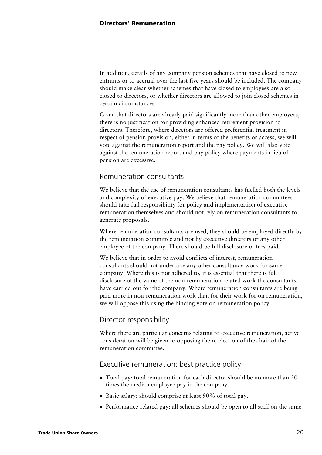In addition, details of any company pension schemes that have closed to new entrants or to accrual over the last five years should be included. The company should make clear whether schemes that have closed to employees are also closed to directors, or whether directors are allowed to join closed schemes in certain circumstances.

Given that directors are already paid significantly more than other employees, there is no justification for providing enhanced retirement provision to directors. Therefore, where directors are offered preferential treatment in respect of pension provision, either in terms of the benefits or access, we will vote against the remuneration report and the pay policy. We will also vote against the remuneration report and pay policy where payments in lieu of pension are excessive.

# Remuneration consultants

We believe that the use of remuneration consultants has fuelled both the levels and complexity of executive pay. We believe that remuneration committees should take full responsibility for policy and implementation of executive remuneration themselves and should not rely on remuneration consultants to generate proposals.

Where remuneration consultants are used, they should be employed directly by the remuneration committee and not by executive directors or any other employee of the company. There should be full disclosure of fees paid.

We believe that in order to avoid conflicts of interest, remuneration consultants should not undertake any other consultancy work for same company. Where this is not adhered to, it is essential that there is full disclosure of the value of the non-remuneration related work the consultants have carried out for the company. Where remuneration consultants are being paid more in non-remuneration work than for their work for on remuneration, we will oppose this using the binding vote on remuneration policy.

# Director responsibility

Where there are particular concerns relating to executive remuneration, active consideration will be given to opposing the re-election of the chair of the remuneration committee.

# Executive remuneration: best practice policy

- Total pay: total remuneration for each director should be no more than 20 times the median employee pay in the company.
- Basic salary: should comprise at least 90% of total pay.
- Performance-related pay: all schemes should be open to all staff on the same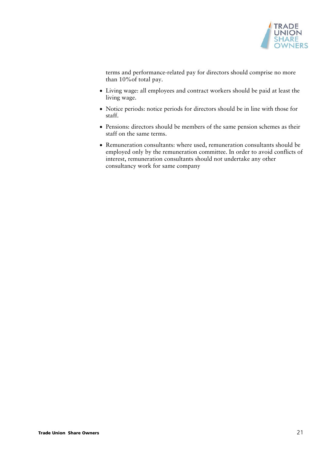

terms and performance-related pay for directors should comprise no more than 10%of total pay.

- Living wage: all employees and contract workers should be paid at least the living wage.
- Notice periods: notice periods for directors should be in line with those for staff.
- Pensions: directors should be members of the same pension schemes as their staff on the same terms.
- Remuneration consultants: where used, remuneration consultants should be employed only by the remuneration committee. In order to avoid conflicts of interest, remuneration consultants should not undertake any other consultancy work for same company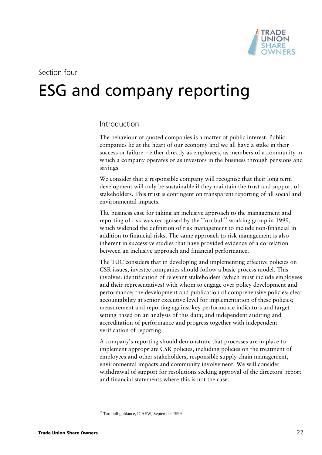

# Section four

# ESG and company reporting

# Introduction

The behaviour of quoted companies is a matter of public interest. Public companies lie at the heart of our economy and we all have a stake in their success or failure – either directly as employees, as members of a community in which a company operates or as investors in the business through pensions and savings.

We consider that a responsible company will recognise that their long term development will only be sustainable if they maintain the trust and support of stakeholders. This trust is contingent on transparent reporting of all social and environmental impacts.

The business case for taking an inclusive approach to the management and reporting of risk was recognised by the Turnbull<sup>15</sup> working group in 1999, which widened the definition of risk management to include non-financial in addition to financial risks. The same approach to risk management is also inherent in successive studies that have provided evidence of a correlation between an inclusive approach and financial performance.

The TUC considers that in developing and implementing effective policies on CSR issues, investee companies should follow a basic process model. This involves: identification of relevant stakeholders (which must include employees and their representatives) with whom to engage over policy development and performance; the development and publication of comprehensive policies; clear accountability at senior executive level for implementation of these policies; measurement and reporting against key performance indicators and target setting based on an analysis of this data; and independent auditing and accreditation of performance and progress together with independent verification of reporting.

A company's reporting should demonstrate that processes are in place to implement appropriate CSR policies, including policies on the treatment of employees and other stakeholders, responsible supply chain management, environmental impacts and community involvement. We will consider withdrawal of support for resolutions seeking approval of the directors' report and financial statements where this is not the case.

 $\overline{a}$ <sup>15</sup> Turnbull guidance, ICAEW, September 1999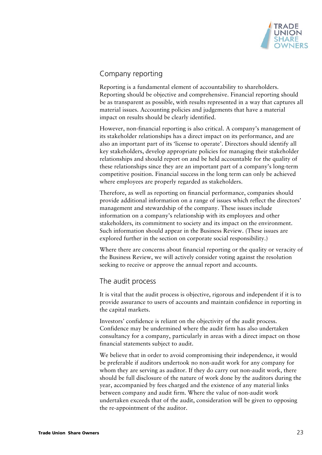

# Company reporting

Reporting is a fundamental element of accountability to shareholders. Reporting should be objective and comprehensive. Financial reporting should be as transparent as possible, with results represented in a way that captures all material issues. Accounting policies and judgements that have a material impact on results should be clearly identified.

However, non-financial reporting is also critical. A company's management of its stakeholder relationships has a direct impact on its performance, and are also an important part of its 'license to operate'. Directors should identify all key stakeholders, develop appropriate policies for managing their stakeholder relationships and should report on and be held accountable for the quality of these relationships since they are an important part of a company's long-term competitive position. Financial success in the long term can only be achieved where employees are properly regarded as stakeholders.

Therefore, as well as reporting on financial performance, companies should provide additional information on a range of issues which reflect the directors' management and stewardship of the company. These issues include information on a company's relationship with its employees and other stakeholders, its commitment to society and its impact on the environment. Such information should appear in the Business Review. (These issues are explored further in the section on corporate social responsibility.)

Where there are concerns about financial reporting or the quality or veracity of the Business Review, we will actively consider voting against the resolution seeking to receive or approve the annual report and accounts.

# The audit process

It is vital that the audit process is objective, rigorous and independent if it is to provide assurance to users of accounts and maintain confidence in reporting in the capital markets.

Investors' confidence is reliant on the objectivity of the audit process. Confidence may be undermined where the audit firm has also undertaken consultancy for a company, particularly in areas with a direct impact on those financial statements subject to audit.

We believe that in order to avoid compromising their independence, it would be preferable if auditors undertook no non-audit work for any company for whom they are serving as auditor. If they do carry out non-audit work, there should be full disclosure of the nature of work done by the auditors during the year, accompanied by fees charged and the existence of any material links between company and audit firm. Where the value of non-audit work undertaken exceeds that of the audit, consideration will be given to opposing the re-appointment of the auditor.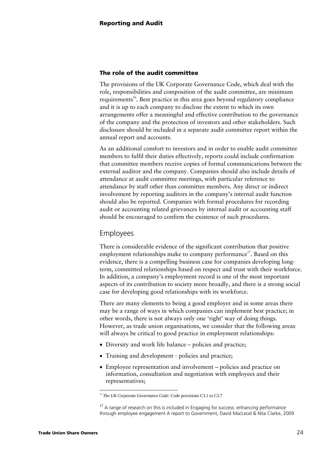#### **The role of the audit committee**

The provisions of the UK Corporate Governance Code, which deal with the role, responsibilities and composition of the audit committee, are minimum requirements<sup>16</sup>. Best practice in this area goes beyond regulatory compliance and it is up to each company to disclose the extent to which its own arrangements offer a meaningful and effective contribution to the governance of the company and the protection of investors and other stakeholders. Such disclosure should be included in a separate audit committee report within the annual report and accounts.

As an additional comfort to investors and in order to enable audit committee members to fulfil their duties effectively, reports could include confirmation that committee members receive copies of formal communications between the external auditor and the company. Companies should also include details of attendance at audit committee meetings, with particular reference to attendance by staff other than committee members. Any direct or indirect involvement by reporting auditors in the company's internal audit function should also be reported. Companies with formal procedures for recording audit or accounting related grievances by internal audit or accounting staff should be encouraged to confirm the existence of such procedures.

# Employees

There is considerable evidence of the significant contribution that positive employment relationships make to company performance<sup>17</sup>. Based on this evidence, there is a compelling business case for companies developing longterm, committed relationships based on respect and trust with their workforce. In addition, a company's employment record is one of the most important aspects of its contribution to society more broadly, and there is a strong social case for developing good relationships with its workforce.

There are many elements to being a good employer and in some areas there may be a range of ways in which companies can implement best practice; in other words, there is not always only one 'right' way of doing things. However, as trade union organisations, we consider that the following areas will always be critical to good practice in employment relationships:

- Diversity and work life balance policies and practice;
- Training and development policies and practice;
- Employee representation and involvement policies and practice on information, consultation and negotiation with employees and their representatives;

<sup>&</sup>lt;sup>15</sup> *The UK Corporate Governance Code:* Code provisions C3.1 to C3.7

 $17$  A range of research on this is included in Engaging for success: enhancing performance through employee engagement A report to Government, David MacLeod & Nita Clarke, 2009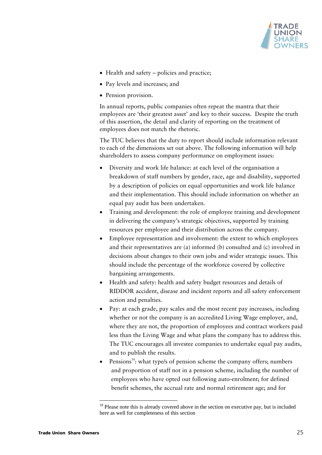

- Health and safety policies and practice;
- Pay levels and increases; and
- Pension provision.

In annual reports, public companies often repeat the mantra that their employees are 'their greatest asset' and key to their success. Despite the truth of this assertion, the detail and clarity of reporting on the treatment of employees does not match the rhetoric.

The TUC believes that the duty to report should include information relevant to each of the dimensions set out above. The following information will help shareholders to assess company performance on employment issues:

- Diversity and work life balance: at each level of the organisation a breakdown of staff numbers by gender, race, age and disability, supported by a description of policies on equal opportunities and work life balance and their implementation. This should include information on whether an equal pay audit has been undertaken.
- Training and development: the role of employee training and development in delivering the company's strategic objectives, supported by training resources per employee and their distribution across the company.
- Employee representation and involvement: the extent to which employees and their representatives are (a) informed (b) consulted and (c) involved in decisions about changes to their own jobs and wider strategic issues. This should include the percentage of the workforce covered by collective bargaining arrangements.
- Health and safety: health and safety budget resources and details of RIDDOR accident, disease and incident reports and all safety enforcement action and penalties.
- Pay: at each grade, pay scales and the most recent pay increases, including whether or not the company is an accredited Living Wage employer, and, where they are not, the proportion of employees and contract workers paid less than the Living Wage and what plans the company has to address this. The TUC encourages all investee companies to undertake equal pay audits, and to publish the results.
- Pensions<sup>18</sup>: what type/s of pension scheme the company offers; numbers and proportion of staff not in a pension scheme, including the number of employees who have opted out following auto-enrolment; for defined benefit schemes, the accrual rate and normal retirement age; and for

 $18$  Please note this is already covered above in the section on executive pay, but is included here as well for completeness of this section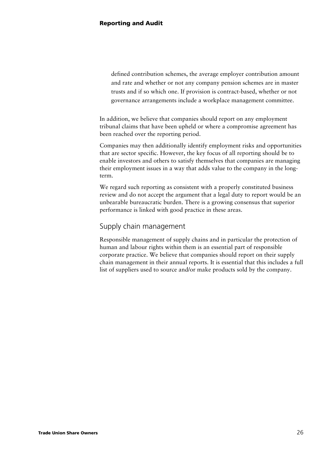defined contribution schemes, the average employer contribution amount and rate and whether or not any company pension schemes are in master trusts and if so which one. If provision is contract-based, whether or not governance arrangements include a workplace management committee.

In addition, we believe that companies should report on any employment tribunal claims that have been upheld or where a compromise agreement has been reached over the reporting period.

Companies may then additionally identify employment risks and opportunities that are sector specific. However, the key focus of all reporting should be to enable investors and others to satisfy themselves that companies are managing their employment issues in a way that adds value to the company in the longterm.

We regard such reporting as consistent with a properly constituted business review and do not accept the argument that a legal duty to report would be an unbearable bureaucratic burden. There is a growing consensus that superior performance is linked with good practice in these areas.

# Supply chain management

Responsible management of supply chains and in particular the protection of human and labour rights within them is an essential part of responsible corporate practice. We believe that companies should report on their supply chain management in their annual reports. It is essential that this includes a full list of suppliers used to source and/or make products sold by the company.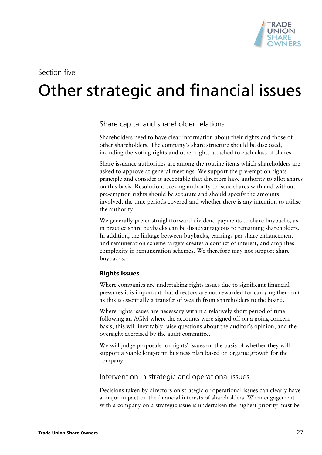

# Section five

# 5 Other strategic and financial issues

Share capital and shareholder relations

Shareholders need to have clear information about their rights and those of other shareholders. The company's share structure should be disclosed, including the voting rights and other rights attached to each class of shares.

Share issuance authorities are among the routine items which shareholders are asked to approve at general meetings. We support the pre-emption rights principle and consider it acceptable that directors have authority to allot shares on this basis. Resolutions seeking authority to issue shares with and without pre-emption rights should be separate and should specify the amounts involved, the time periods covered and whether there is any intention to utilise the authority.

We generally prefer straightforward dividend payments to share buybacks, as in practice share buybacks can be disadvantageous to remaining shareholders. In addition, the linkage between buybacks, earnings per share enhancement and remuneration scheme targets creates a conflict of interest, and amplifies complexity in remuneration schemes. We therefore may not support share buybacks.

### **Rights issues**

Where companies are undertaking rights issues due to significant financial pressures it is important that directors are not rewarded for carrying them out as this is essentially a transfer of wealth from shareholders to the board.

Where rights issues are necessary within a relatively short period of time following an AGM where the accounts were signed off on a going concern basis, this will inevitably raise questions about the auditor's opinion, and the oversight exercised by the audit committee.

We will judge proposals for rights' issues on the basis of whether they will support a viable long-term business plan based on organic growth for the company.

### Intervention in strategic and operational issues

Decisions taken by directors on strategic or operational issues can clearly have a major impact on the financial interests of shareholders. When engagement with a company on a strategic issue is undertaken the highest priority must be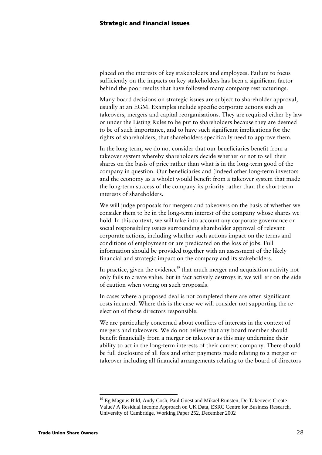placed on the interests of key stakeholders and employees. Failure to focus sufficiently on the impacts on key stakeholders has been a significant factor behind the poor results that have followed many company restructurings.

Many board decisions on strategic issues are subject to shareholder approval, usually at an EGM. Examples include specific corporate actions such as takeovers, mergers and capital reorganisations. They are required either by law or under the Listing Rules to be put to shareholders because they are deemed to be of such importance, and to have such significant implications for the rights of shareholders, that shareholders specifically need to approve them.

In the long-term, we do not consider that our beneficiaries benefit from a takeover system whereby shareholders decide whether or not to sell their shares on the basis of price rather than what is in the long-term good of the company in question. Our beneficiaries and (indeed other long-term investors and the economy as a whole) would benefit from a takeover system that made the long-term success of the company its priority rather than the short-term interests of shareholders.

We will judge proposals for mergers and takeovers on the basis of whether we consider them to be in the long-term interest of the company whose shares we hold. In this context, we will take into account any corporate governance or social responsibility issues surrounding shareholder approval of relevant corporate actions, including whether such actions impact on the terms and conditions of employment or are predicated on the loss of jobs. Full information should be provided together with an assessment of the likely financial and strategic impact on the company and its stakeholders.

In practice, given the evidence<sup>19</sup> that much merger and acquisition activity not only fails to create value, but in fact actively destroys it, we will err on the side of caution when voting on such proposals.

In cases where a proposed deal is not completed there are often significant costs incurred. Where this is the case we will consider not supporting the reelection of those directors responsible.

We are particularly concerned about conflicts of interests in the context of mergers and takeovers. We do not believe that any board member should benefit financially from a merger or takeover as this may undermine their ability to act in the long-term interests of their current company. There should be full disclosure of all fees and other payments made relating to a merger or takeover including all financial arrangements relating to the board of directors

<sup>19</sup> Eg Magnus Bild, Andy Cosh, Paul Guest and Mikael Runsten, Do Takeovers Create Value? A Residual Income Approach on UK Data, ESRC Centre for Business Research, University of Cambridge, Working Paper 252, December 2002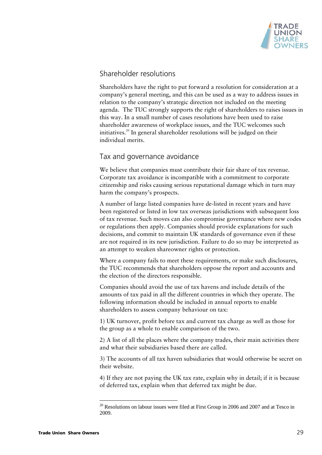

# Shareholder resolutions

Shareholders have the right to put forward a resolution for consideration at a company's general meeting, and this can be used as a way to address issues in relation to the company's strategic direction not included on the meeting agenda. The TUC strongly supports the right of shareholders to raises issues in this way. In a small number of cases resolutions have been used to raise shareholder awareness of workplace issues, and the TUC welcomes such initiatives.<sup>20</sup> In general shareholder resolutions will be judged on their individual merits.

# Tax and governance avoidance

We believe that companies must contribute their fair share of tax revenue. Corporate tax avoidance is incompatible with a commitment to corporate citizenship and risks causing serious reputational damage which in turn may harm the company's prospects.

A number of large listed companies have de-listed in recent years and have been registered or listed in low tax overseas jurisdictions with subsequent loss of tax revenue. Such moves can also compromise governance where new codes or regulations then apply. Companies should provide explanations for such decisions, and commit to maintain UK standards of governance even if these are not required in its new jurisdiction. Failure to do so may be interpreted as an attempt to weaken shareowner rights or protection.

Where a company fails to meet these requirements, or make such disclosures, the TUC recommends that shareholders oppose the report and accounts and the election of the directors responsible.

Companies should avoid the use of tax havens and include details of the amounts of tax paid in all the different countries in which they operate. The following information should be included in annual reports to enable shareholders to assess company behaviour on tax:

1) UK turnover, profit before tax and current tax charge as well as those for the group as a whole to enable comparison of the two.

2) A list of all the places where the company trades, their main activities there and what their subsidiaries based there are called.

3) The accounts of all tax haven subsidiaries that would otherwise be secret on their website.

4) If they are not paying the UK tax rate, explain why in detail; if it is because of deferred tax, explain when that deferred tax might be due.

 $20$  Resolutions on labour issues were filed at First Group in 2006 and 2007 and at Tesco in 2009.